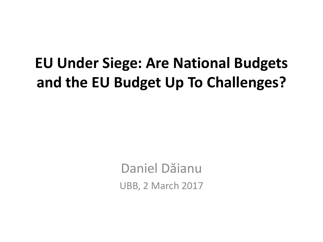### **EU Under Siege: Are National Budgets and the EU Budget Up To Challenges?**

Daniel Dăianu UBB, 2 March 2017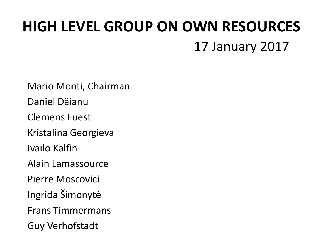### **HIGH LEVEL GROUP ON OWN RESOURCES** 17 January 2017

Mario Monti, Chairman Daniel Dăianu Clemens Fuest Kristalina Georgieva Ivailo Kalfin Alain Lamassource Pierre Moscovici Ingrida Šimonytė Frans Timmermans Guy Verhofstadt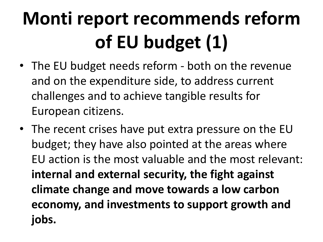# **Monti report recommends reform of EU budget (1)**

- The EU budget needs reform both on the revenue and on the expenditure side, to address current challenges and to achieve tangible results for European citizens.
- The recent crises have put extra pressure on the EU budget; they have also pointed at the areas where EU action is the most valuable and the most relevant: **internal and external security, the fight against climate change and move towards a low carbon economy, and investments to support growth and jobs.**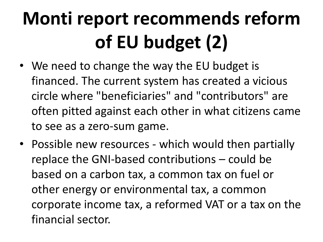# **Monti report recommends reform of EU budget (2)**

- We need to change the way the EU budget is financed. The current system has created a vicious circle where "beneficiaries" and "contributors" are often pitted against each other in what citizens came to see as a zero-sum game.
- Possible new resources which would then partially replace the GNI-based contributions – could be based on a carbon tax, a common tax on fuel or other energy or environmental tax, a common corporate income tax, a reformed VAT or a tax on the financial sector.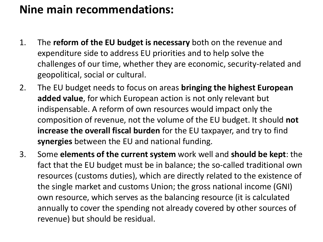### **Nine main recommendations:**

- 1. The **reform of the EU budget is necessary** both on the revenue and expenditure side to address EU priorities and to help solve the challenges of our time, whether they are economic, security-related and geopolitical, social or cultural.
- 2. The EU budget needs to focus on areas **bringing the highest European added value**, for which European action is not only relevant but indispensable. A reform of own resources would impact only the composition of revenue, not the volume of the EU budget. It should **not increase the overall fiscal burden** for the EU taxpayer, and try to find **synergies** between the EU and national funding.
- 3. Some **elements of the current system** work well and **should be kept**: the fact that the EU budget must be in balance; the so-called traditional own resources (customs duties), which are directly related to the existence of the single market and customs Union; the gross national income (GNI) own resource, which serves as the balancing resource (it is calculated annually to cover the spending not already covered by other sources of revenue) but should be residual.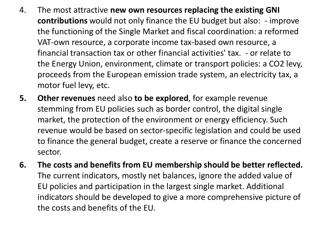- 4. The most attractive **new own resources replacing the existing GNI contributions** would not only finance the EU budget but also: - improve the functioning of the Single Market and fiscal coordination: a reformed VAT-own resource, a corporate income tax-based own resource, a financial transaction tax or other financial activities' tax. - or relate to the Energy Union, environment, climate or transport policies: a CO2 levy, proceeds from the European emission trade system, an electricity tax, a motor fuel levy, etc.
- **5. Other revenues** need also **to be explored**, for example revenue stemming from EU policies such as border control, the digital single market, the protection of the environment or energy efficiency. Such revenue would be based on sector-specific legislation and could be used to finance the general budget, create a reserve or finance the concerned sector.
- **6. The costs and benefits from EU membership should be better reflected.**  The current indicators, mostly net balances, ignore the added value of EU policies and participation in the largest single market. Additional indicators should be developed to give a more comprehensive picture of the costs and benefits of the EU.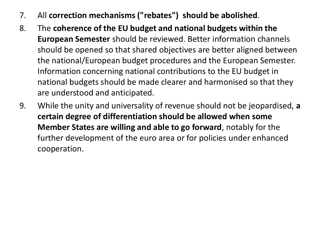- 7. All **correction mechanisms ("rebates") should be abolished**.
- 8. The **coherence of the EU budget and national budgets within the European Semester** should be reviewed. Better information channels should be opened so that shared objectives are better aligned between the national/European budget procedures and the European Semester. Information concerning national contributions to the EU budget in national budgets should be made clearer and harmonised so that they are understood and anticipated.
- 9. While the unity and universality of revenue should not be jeopardised, **a certain degree of differentiation should be allowed when some Member States are willing and able to go forward**, notably for the further development of the euro area or for policies under enhanced cooperation.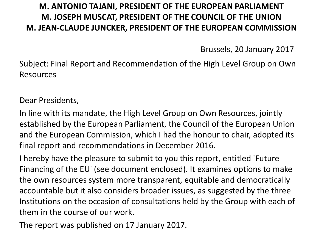#### **M. ANTONIO TAJANI, PRESIDENT OF THE EUROPEAN PARLIAMENT M. JOSEPH MUSCAT, PRESIDENT OF THE COUNCIL OF THE UNION M. JEAN-CLAUDE JUNCKER, PRESIDENT OF THE EUROPEAN COMMISSION**

Brussels, 20 January 2017

Subject: Final Report and Recommendation of the High Level Group on Own Resources

Dear Presidents,

In line with its mandate, the High Level Group on Own Resources, jointly established by the European Parliament, the Council of the European Union and the European Commission, which I had the honour to chair, adopted its final report and recommendations in December 2016.

I hereby have the pleasure to submit to you this report, entitled 'Future Financing of the EU' (see document enclosed). It examines options to make the own resources system more transparent, equitable and democratically accountable but it also considers broader issues, as suggested by the three Institutions on the occasion of consultations held by the Group with each of them in the course of our work.

The report was published on 17 January 2017.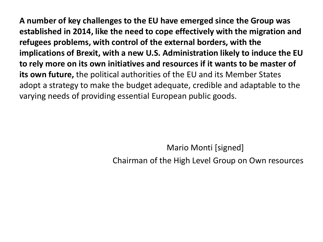**A number of key challenges to the EU have emerged since the Group was established in 2014, like the need to cope effectively with the migration and refugees problems, with control of the external borders, with the implications of Brexit, with a new U.S. Administration likely to induce the EU to rely more on its own initiatives and resources if it wants to be master of its own future,** the political authorities of the EU and its Member States adopt a strategy to make the budget adequate, credible and adaptable to the varying needs of providing essential European public goods.

Mario Monti [signed]

Chairman of the High Level Group on Own resources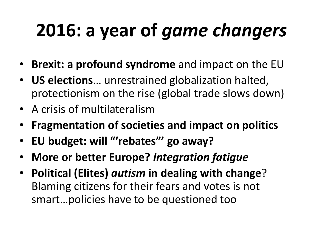# **2016: a year of** *game changers*

- **Brexit: a profound syndrome** and impact on the EU
- **US elections**… unrestrained globalization halted, protectionism on the rise (global trade slows down)
- A crisis of multilateralism
- **Fragmentation of societies and impact on politics**
- **EU budget: will "'rebates"' go away?**
- **More or better Europe?** *Integration fatigue*
- **Political (Elites)** *autism* **in dealing with change**? Blaming citizens for their fears and votes is not smart…policies have to be questioned too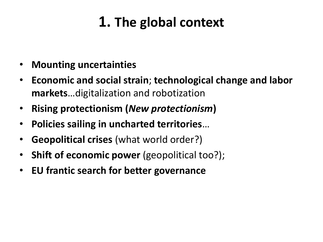### **1. The global context**

- **Mounting uncertainties**
- **Economic and social strain**; **technological change and labor markets**…digitalization and robotization
- **Rising protectionism (***New protectionism***)**
- **Policies sailing in uncharted territories**…
- **Geopolitical crises** (what world order?)
- **Shift of economic power** (geopolitical too?);
- **EU frantic search for better governance**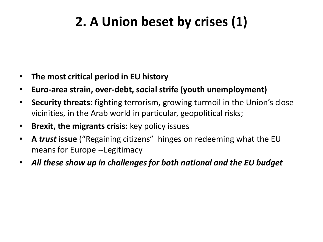### **2. A Union beset by crises (1)**

- **The most critical period in EU history**
- **Euro-area strain, over-debt, social strife (youth unemployment)**
- **Security threats**: fighting terrorism, growing turmoil in the Union's close vicinities, in the Arab world in particular, geopolitical risks;
- **Brexit, the migrants crisis:** key policy issues
- **A** *trust* **issue** ("Regaining citizens" hinges on redeeming what the EU means for Europe --Legitimacy
- *All these show up in challenges for both national and the EU budget*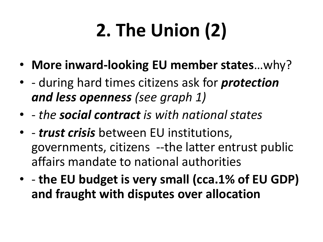# **2. The Union (2)**

- **More inward-looking EU member states**…why?
- - during hard times citizens ask for *protection and less openness (see graph 1)*
- - *the social contract is with national states*
- - *trust crisis* between EU institutions, governments, citizens --the latter entrust public affairs mandate to national authorities
- - **the EU budget is very small (cca.1% of EU GDP) and fraught with disputes over allocation**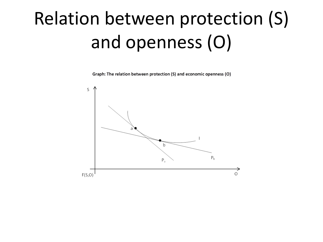# Relation between protection (S) and openness (O)

Graph: The relation between protection (S) and economic openness (O)

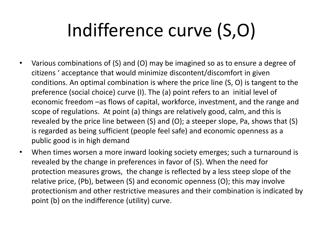# Indifference curve (S,O)

- Various combinations of (S) and (O) may be imagined so as to ensure a degree of citizens ' acceptance that would minimize discontent/discomfort in given conditions. An optimal combination is where the price line (S, O) is tangent to the preference (social choice) curve (I). The (a) point refers to an initial level of economic freedom –as flows of capital, workforce, investment, and the range and scope of regulations. At point (a) things are relatively good, calm, and this is revealed by the price line between (S) and (O); a steeper slope, Pa, shows that (S) is regarded as being sufficient (people feel safe) and economic openness as a public good is in high demand
- When times worsen a more inward looking society emerges; such a turnaround is revealed by the change in preferences in favor of (S). When the need for protection measures grows, the change is reflected by a less steep slope of the relative price, (Pb), between (S) and economic openness (O); this may involve protectionism and other restrictive measures and their combination is indicated by point (b) on the indifference (utility) curve.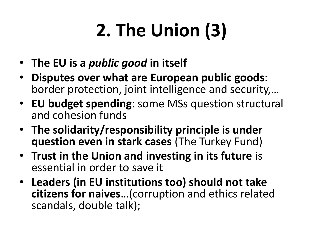# **2. The Union (3)**

- **The EU is a** *public good* **in itself**
- **Disputes over what are European public goods**: border protection, joint intelligence and security,…
- **EU budget spending**: some MSs question structural and cohesion funds
- **The solidarity/responsibility principle is under question even in stark cases** (The Turkey Fund)
- **Trust in the Union and investing in its future** is essential in order to save it
- **Leaders (in EU institutions too) should not take citizens for naives**…(corruption and ethics related scandals, double talk);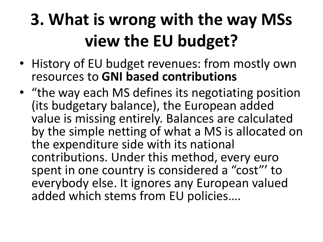## **3. What is wrong with the way MSs view the EU budget?**

- History of EU budget revenues: from mostly own resources to **GNI based contributions**
- "the way each MS defines its negotiating position (its budgetary balance), the European added value is missing entirely. Balances are calculated by the simple netting of what a MS is allocated on the expenditure side with its national contributions. Under this method, every euro spent in one country is considered a "cost"' to everybody else. It ignores any European valued added which stems from EU policies….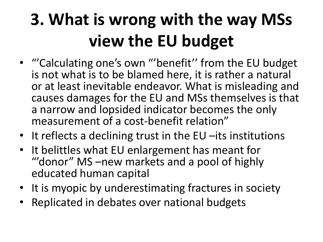## **3. What is wrong with the way MSs view the EU budget**

- "'Calculating one's own "'benefit'' from the EU budget is not what is to be blamed here, it is rather a natural or at least inevitable endeavor. What is misleading and causes damages for the EU and MSs themselves is that a narrow and lopsided indicator becomes the only measurement of a cost-benefit relation"
- It reflects a declining trust in the EU –its institutions
- It belittles what EU enlargement has meant for ""donor" MS –new markets and a pool of highly educated human capital
- It is myopic by underestimating fractures in society
- Replicated in debates over national budgets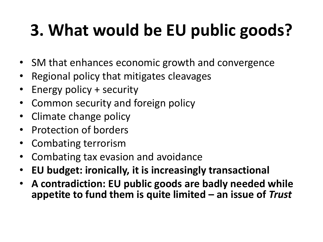## **3. What would be EU public goods?**

- SM that enhances economic growth and convergence
- Regional policy that mitigates cleavages
- Energy policy + security
- Common security and foreign policy
- Climate change policy
- Protection of borders
- Combating terrorism
- Combating tax evasion and avoidance
- **EU budget: ironically, it is increasingly transactional**
- **A contradiction: EU public goods are badly needed while appetite to fund them is quite limited – an issue of** *Trust*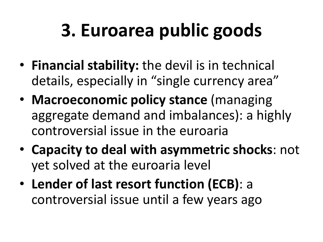# **3. Euroarea public goods**

- **Financial stability:** the devil is in technical details, especially in "single currency area"
- **Macroeconomic policy stance** (managing aggregate demand and imbalances): a highly controversial issue in the euroaria
- **Capacity to deal with asymmetric shocks**: not yet solved at the euroaria level
- **Lender of last resort function (ECB)**: a controversial issue until a few years ago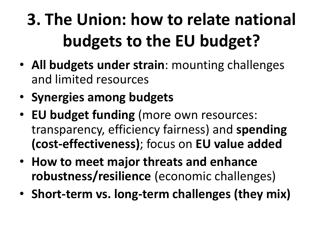# **3. The Union: how to relate national budgets to the EU budget?**

- **All budgets under strain**: mounting challenges and limited resources
- **Synergies among budgets**
- **EU budget funding** (more own resources: transparency, efficiency fairness) and **spending (cost-effectiveness)**; focus on **EU value added**
- **How to meet major threats and enhance robustness/resilience** (economic challenges)
- **Short-term vs. long-term challenges (they mix)**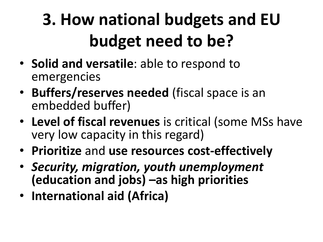# **3. How national budgets and EU budget need to be?**

- **Solid and versatile**: able to respond to emergencies
- **Buffers/reserves needed** (fiscal space is an embedded buffer)
- **Level of fiscal revenues** is critical (some MSs have very low capacity in this regard)
- **Prioritize** and **use resources cost-effectively**
- *Security, migration, youth unemployment*  **(education and jobs) –as high priorities**
- **International aid (Africa)**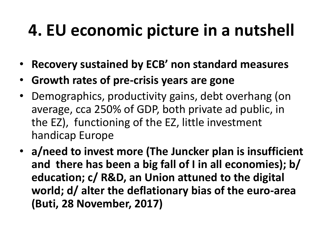### **4. EU economic picture in a nutshell**

- **Recovery sustained by ECB' non standard measures**
- **Growth rates of pre-crisis years are gone**
- Demographics, productivity gains, debt overhang (on average, cca 250% of GDP, both private ad public, in the EZ), functioning of the EZ, little investment handicap Europe
- **a/need to invest more (The Juncker plan is insufficient and there has been a big fall of I in all economies); b/ education; c/ R&D, an Union attuned to the digital world; d/ alter the deflationary bias of the euro-area (Buti, 28 November, 2017)**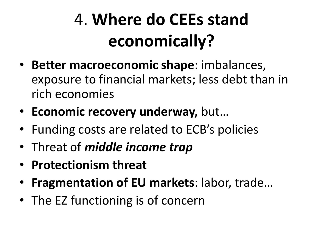## 4. **Where do CEEs stand economically?**

- **Better macroeconomic shape**: imbalances, exposure to financial markets; less debt than in rich economies
- **Economic recovery underway,** but…
- Funding costs are related to ECB's policies
- Threat of *middle income trap*
- **Protectionism threat**
- **Fragmentation of EU markets**: labor, trade…
- The EZ functioning is of concern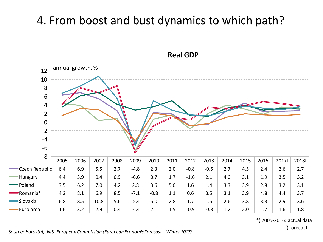#### 4. From boost and bust dynamics to which path?



#### **Real GDP**

\*) 2005-2016: actual data

f) forecast

*Source: Eurostat, NIS, European Commission (European Economic Forecast – Winter 2017)*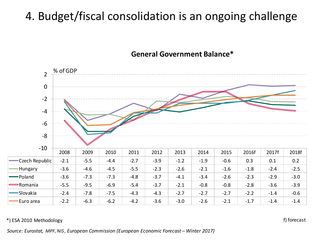### 4. Budget/fiscal consolidation is an ongoing challenge





#### \*) ESA 2010 Methodology

f) forecast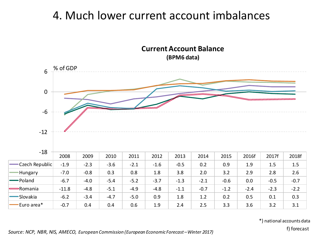#### 4. Much lower current account imbalances

**Current Account Balance (BPM6 data)**



\*) national accounts data

f) forecast *Source: NCP, NBR, NIS, AMECO, European Commission (European Economic Forecast –Winter 2017)*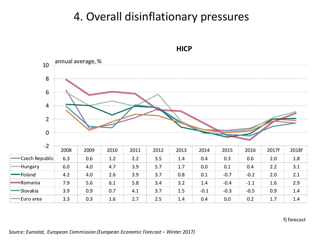#### 4. Overall disinflationary pressures



#### **HICP**

#### f) forecast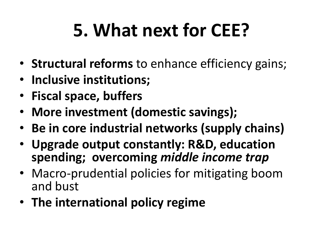# **5. What next for CEE?**

- **Structural reforms** to enhance efficiency gains;
- **Inclusive institutions;**
- **Fiscal space, buffers**
- **More investment (domestic savings);**
- **Be in core industrial networks (supply chains)**
- **Upgrade output constantly: R&D, education spending; overcoming** *middle income trap*
- Macro-prudential policies for mitigating boom and bust
- **The international policy regime**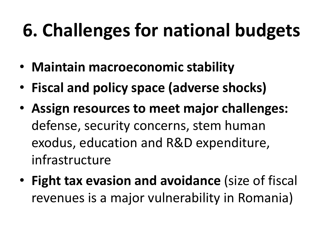# **6. Challenges for national budgets**

- **Maintain macroeconomic stability**
- **Fiscal and policy space (adverse shocks)**
- **Assign resources to meet major challenges:**  defense, security concerns, stem human exodus, education and R&D expenditure, infrastructure
- **Fight tax evasion and avoidance** (size of fiscal revenues is a major vulnerability in Romania)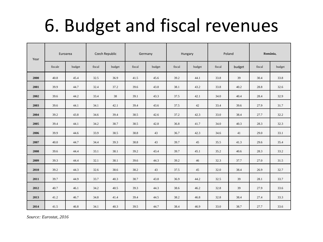## 6. Budget and fiscal revenues

| Year | Euroarea |        | Czech Republic |        | Germany |        | Hungary |        | Poland |        | România, |        |
|------|----------|--------|----------------|--------|---------|--------|---------|--------|--------|--------|----------|--------|
|      | fiscale  | budget | fiscal         | budget | fiscal  | budget | fiscal  | budget | fiscal | budget | fiscal   | budget |
| 2000 | 40.8     | 45.4   | 32.5           | 36.9   | 41.5    | 45.6   | 39.2    | 44.1   | 33.8   | 39     | 30.4     | 33.8   |
| 2001 | 39.9     | 44.7   | 32.4           | 37.2   | 39.6    | 43.8   | 38.1    | 43.2   | 33.8   | 40.2   | 28.8     | 32.6   |
| 2002 | 39.6     | 44.2   | 33.4           | 38     | 39.1    | 43.3   | 37.5    | 42.1   | 34.0   | 40.4   | 28.4     | 32.9   |
| 2003 | 39.6     | 44.1   | 34.1           | 42.1   | 39.4    | 43.6   | 37.5    | 42     | 33.4   | 39.6   | 27.9     | 31.7   |
| 2004 | 39.2     | 43.8   | 34.6           | 39.4   | 38.5    | 42.6   | 37.2    | 42.3   | 33.0   | 38.4   | 27.7     | 32.2   |
| 2005 | 39.4     | 44.1   | 34.2           | 38.7   | 38.5    | 42.8   | 36.8    | 41.7   | 34.0   | 40.3   | 28.3     | 32.3   |
| 2006 | 39.9     | 44.6   | 33.9           | 38.5   | 38.8    | 43     | 36.7    | 42.3   | 34.6   | 41     | 29.0     | 33.1   |
| 2007 | 40.0     | 44.7   | 34.4           | 39.3   | 38.8    | 43     | 39.7    | 45     | 35.5   | 41.3   | 29.6     | 35.4   |
| 2008 | 39.6     | 44.4   | 33.1           | 38.1   | 39.2    | 43.4   | 39.7    | 45.1   | 35.2   | 40.6   | 28.3     | 33.2   |
| 2009 | 39.3     | 44.4   | 32.1           | 38.1   | 39.6    | 44.3   | 39.2    | 46     | 32.3   | 37.7   | 27.0     | 31.5   |
| 2010 | 39.2     | 44.3   | 32.6           | 38.6   | 38.2    | 43     | 37.5    | 45     | 32.0   | 38.4   | 26.9     | 32.7   |
| 2011 | 39.7     | 44.9   | 33.7           | 40.3   | 38.7    | 43.8   | 36.9    | 44.2   | 32.5   | 39     | 28.1     | 33.7   |
| 2012 | 40.7     | 46.1   | 34.2           | 40.5   | 39.3    | 44.3   | 38.6    | 46.2   | 32.8   | 39     | 27.9     | 33.6   |
| 2013 | 41.2     | 46.7   | 34.8           | 41.4   | 39.4    | 44.5   | 38.2    | 46.8   | 32.8   | 38.4   | 27.4     | 33.3   |
| 2014 | 41.5     | 46.8   | 34.1           | 40.3   | 39.5    | 44.7   | 38.4    | 46.9   | 33.0   | 38.7   | 27.7     | 33.6   |

 *Source: Eurostat, 2016*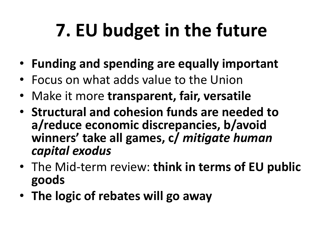# **7. EU budget in the future**

- **Funding and spending are equally important**
- Focus on what adds value to the Union
- Make it more **transparent, fair, versatile**
- **Structural and cohesion funds are needed to a/reduce economic discrepancies, b/avoid winners' take all games, c/** *mitigate human capital exodus*
- The Mid-term review: **think in terms of EU public goods**
- **The logic of rebates will go away**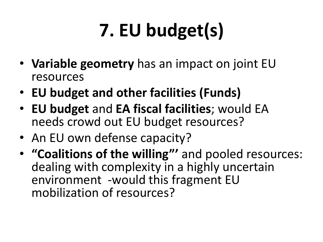# **7. EU budget(s)**

- **Variable geometry** has an impact on joint EU resources
- **EU budget and other facilities (Funds)**
- **EU budget** and **EA fiscal facilities**; would EA needs crowd out EU budget resources?
- An EU own defense capacity?
- **"Coalitions of the willing"'** and pooled resources: dealing with complexity in a highly uncertain environment -would this fragment EU mobilization of resources?